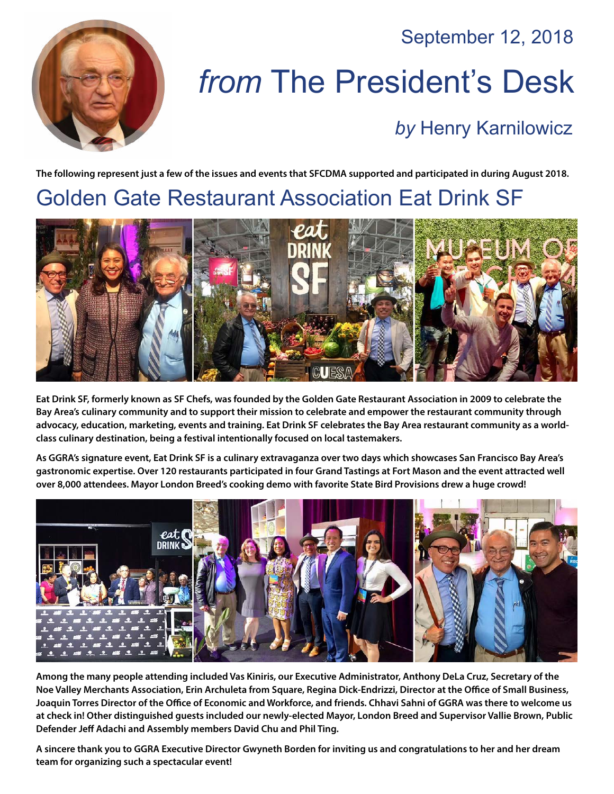September 12, 2018



# *from* The President's Desk

#### *by* [Henry Karnilowicz](mailto:henry@sfcdma.org)

**The following represent just a few of the issues and events that SFCDMA supported and participated in during August 2018.**

# Golden Gate Restaurant Association Eat Drink SF



**Eat Drink SF, formerly known as SF Chefs, was founded by the Golden Gate Restaurant Association in 2009 to celebrate the Bay Area's culinary community and to support their mission to celebrate and empower the restaurant community through advocacy, education, marketing, events and training. Eat Drink SF celebrates the Bay Area restaurant community as a worldclass culinary destination, being a festival intentionally focused on local tastemakers.**

**As GGRA's signature event, Eat Drink SF is a culinary extravaganza over two days which showcases San Francisco Bay Area's gastronomic expertise. Over 120 restaurants participated in four Grand Tastings at Fort Mason and the event attracted well over 8,000 attendees. Mayor London Breed's cooking demo with favorite State Bird Provisions drew a huge crowd!**



**Among the many people attending included Vas Kiniris, our Executive Administrator, Anthony DeLa Cruz, Secretary of the Noe Valley Merchants Association, Erin Archuleta from Square, Regina Dick-Endrizzi, Director at the Office of Small Business, Joaquin Torres Director of the Office of Economic and Workforce, and friends. Chhavi Sahni of GGRA was there to welcome us at check in! Other distinguished guests included our newly-elected Mayor, London Breed and Supervisor Vallie Brown, Public Defender Jeff Adachi and Assembly members David Chu and Phil Ting.**

**A sincere thank you to GGRA Executive Director Gwyneth Borden for inviting us and congratulations to her and her dream team for organizing such a spectacular event!**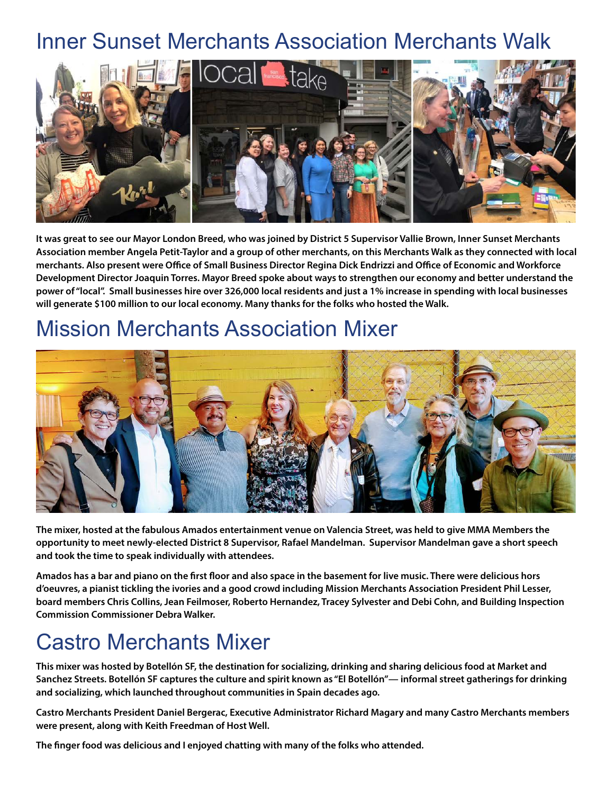## Inner Sunset Merchants Association Merchants Walk



**It was great to see our Mayor London Breed, who was joined by District 5 Supervisor Vallie Brown, Inner Sunset Merchants Association member Angela Petit-Taylor and a group of other merchants, on this Merchants Walk as they connected with local merchants. Also present were Office of Small Business Director Regina Dick Endrizzi and Office of Economic and Workforce Development Director Joaquin Torres. Mayor Breed spoke about ways to strengthen our economy and better understand the power of "local". Small businesses hire over 326,000 local residents and just a 1% increase in spending with local businesses will generate \$100 million to our local economy. Many thanks for the folks who hosted the Walk.**

#### Mission Merchants Association Mixer



**The mixer, hosted at the fabulous Amados entertainment venue on Valencia Street, was held to give MMA Members the opportunity to meet newly-elected District 8 Supervisor, Rafael Mandelman. Supervisor Mandelman gave a short speech and took the time to speak individually with attendees.**

**Amados has a bar and piano on the first floor and also space in the basement for live music. There were delicious hors d'oeuvres, a pianist tickling the ivories and a good crowd including Mission Merchants Association President Phil Lesser, board members Chris Collins, Jean Feilmoser, Roberto Hernandez, Tracey Sylvester and Debi Cohn, and Building Inspection Commission Commissioner Debra Walker.**

# Castro Merchants Mixer

**This mixer was hosted by Botellón SF, the destination for socializing, drinking and sharing delicious food at Market and Sanchez Streets. Botellón SF captures the culture and spirit known as "El Botellón"— informal street gatherings for drinking and socializing, which launched throughout communities in Spain decades ago.** 

**Castro Merchants President Daniel Bergerac, Executive Administrator Richard Magary and many Castro Merchants members were present, along with Keith Freedman of Host Well.** 

**The finger food was delicious and I enjoyed chatting with many of the folks who attended.**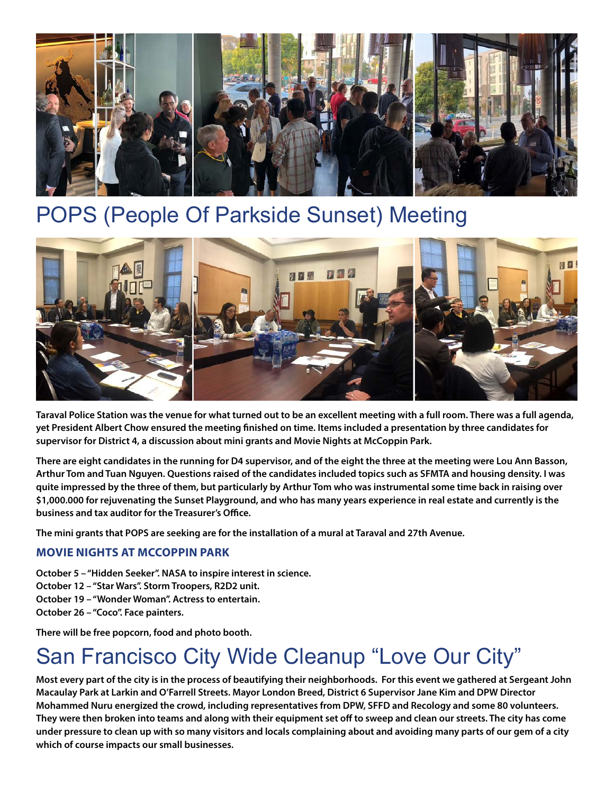

## POPS (People Of Parkside Sunset) Meeting



**Taraval Police Station was the venue for what turned out to be an excellent meeting with a full room. There was a full agenda, yet President Albert Chow ensured the meeting finished on time. Items included a presentation by three candidates for supervisor for District 4, a discussion about mini grants and Movie Nights at McCoppin Park.**

**There are eight candidates in the running for D4 supervisor, and of the eight the three at the meeting were Lou Ann Basson, Arthur Tom and Tuan Nguyen. Questions raised of the candidates included topics such as SFMTA and housing density. I was quite impressed by the three of them, but particularly by Arthur Tom who was instrumental some time back in raising over \$1,000.000 for rejuvenating the Sunset Playground, and who has many years experience in real estate and currently is the business and tax auditor for the Treasurer's Office.**

**The mini grants that POPS are seeking are for the installation of a mural at Taraval and 27th Avenue.**

#### **MOVIE NIGHTS AT MCCOPPIN PARK**

- **October 5 "Hidden Seeker". NASA to inspire interest in science.**
- **October 12 "Star Wars". Storm Troopers, R2D2 unit.**
- **October 19 "Wonder Woman". Actress to entertain.**
- **October 26 "Coco". Face painters.**

**There will be free popcorn, food and photo booth.**

# San Francisco City Wide Cleanup "Love Our City"

**Most every part of the city is in the process of beautifying their neighborhoods. For this event we gathered at Sergeant John Macaulay Park at Larkin and O'Farrell Streets. Mayor London Breed, District 6 Supervisor Jane Kim and DPW Director Mohammed Nuru energized the crowd, including representatives from DPW, SFFD and Recology and some 80 volunteers. They were then broken into teams and along with their equipment set off to sweep and clean our streets. The city has come under pressure to clean up with so many visitors and locals complaining about and avoiding many parts of our gem of a city which of course impacts our small businesses.**